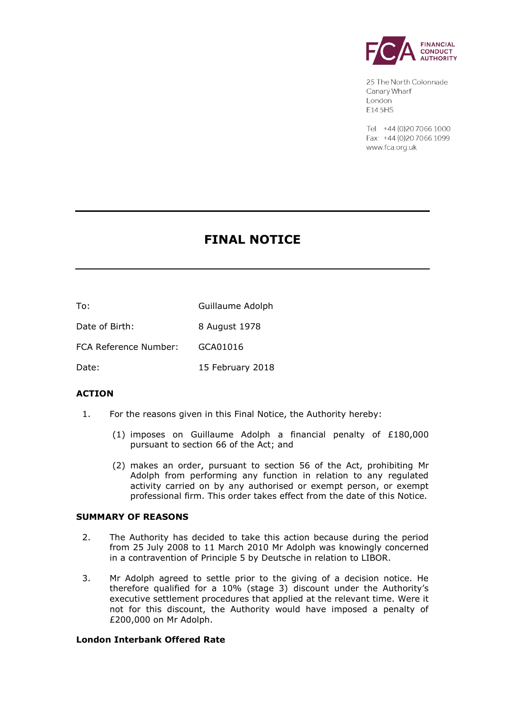

25 The North Colonnade Canary Wharf London F145HS

Tel: +44 (0) 20 70 66 1000 Fax: +44 (0) 20 7066 1099 www.fca.org.uk

# **FINAL NOTICE**

To: Guillaume Adolph

Date of Birth: 8 August 1978

FCA Reference Number: GCA01016

Date: 15 February 2018

# **ACTION**

- 1. For the reasons given in this Final Notice, the Authority hereby:
	- (1) imposes on Guillaume Adolph a financial penalty of £180,000 pursuant to section 66 of the Act; and
	- (2) makes an order, pursuant to section 56 of the Act, prohibiting Mr Adolph from performing any function in relation to any regulated activity carried on by any authorised or exempt person, or exempt professional firm. This order takes effect from the date of this Notice.

# **SUMMARY OF REASONS**

- 2. The Authority has decided to take this action because during the period from 25 July 2008 to 11 March 2010 Mr Adolph was knowingly concerned in a contravention of Principle 5 by Deutsche in relation to LIBOR.
- 3. Mr Adolph agreed to settle prior to the giving of a decision notice. He therefore qualified for a 10% (stage 3) discount under the Authority's executive settlement procedures that applied at the relevant time. Were it not for this discount, the Authority would have imposed a penalty of £200,000 on Mr Adolph.

# **London Interbank Offered Rate**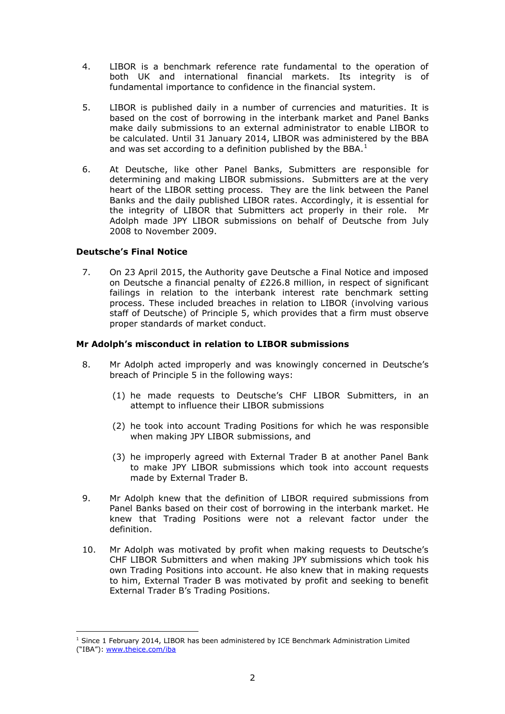- 4. LIBOR is a benchmark reference rate fundamental to the operation of both UK and international financial markets. Its integrity is of fundamental importance to confidence in the financial system.
- 5. LIBOR is published daily in a number of currencies and maturities. It is based on the cost of borrowing in the interbank market and Panel Banks make daily submissions to an external administrator to enable LIBOR to be calculated. Until 31 January 2014, LIBOR was administered by the BBA and was set according to a definition published by the BBA. $<sup>1</sup>$ </sup>
- 6. At Deutsche, like other Panel Banks, Submitters are responsible for determining and making LIBOR submissions. Submitters are at the very heart of the LIBOR setting process. They are the link between the Panel Banks and the daily published LIBOR rates. Accordingly, it is essential for the integrity of LIBOR that Submitters act properly in their role. Mr Adolph made JPY LIBOR submissions on behalf of Deutsche from July 2008 to November 2009.

# **Deutsche's Final Notice**

 $\overline{a}$ 

7. On 23 April 2015, the Authority gave Deutsche a Final Notice and imposed on Deutsche a financial penalty of £226.8 million, in respect of significant failings in relation to the interbank interest rate benchmark setting process. These included breaches in relation to LIBOR (involving various staff of Deutsche) of Principle 5, which provides that a firm must observe proper standards of market conduct.

# **Mr Adolph's misconduct in relation to LIBOR submissions**

- 8. Mr Adolph acted improperly and was knowingly concerned in Deutsche's breach of Principle 5 in the following ways:
	- (1) he made requests to Deutsche's CHF LIBOR Submitters, in an attempt to influence their LIBOR submissions
	- (2) he took into account Trading Positions for which he was responsible when making JPY LIBOR submissions, and
	- (3) he improperly agreed with External Trader B at another Panel Bank to make JPY LIBOR submissions which took into account requests made by External Trader B.
- 9. Mr Adolph knew that the definition of LIBOR required submissions from Panel Banks based on their cost of borrowing in the interbank market. He knew that Trading Positions were not a relevant factor under the definition.
- 10. Mr Adolph was motivated by profit when making requests to Deutsche's CHF LIBOR Submitters and when making JPY submissions which took his own Trading Positions into account. He also knew that in making requests to him, External Trader B was motivated by profit and seeking to benefit External Trader B's Trading Positions.

 $1$  Since 1 February 2014, LIBOR has been administered by ICE Benchmark Administration Limited ("IBA"): [www.theice.com/iba](http://www.theice.com/iba)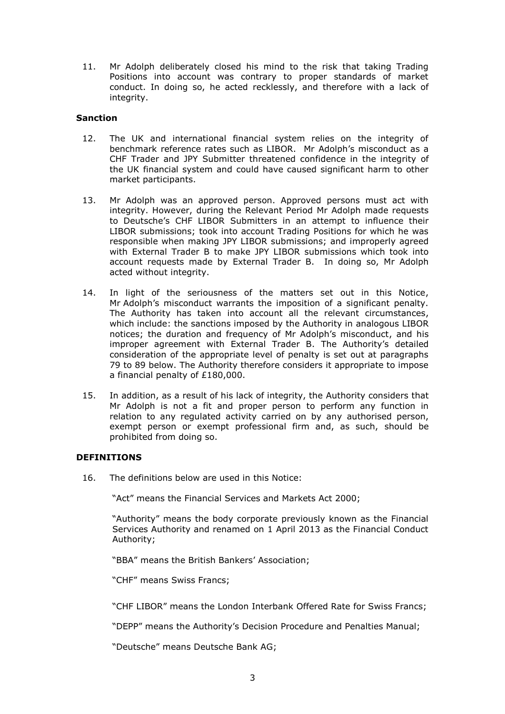11. Mr Adolph deliberately closed his mind to the risk that taking Trading Positions into account was contrary to proper standards of market conduct. In doing so, he acted recklessly, and therefore with a lack of integrity.

# **Sanction**

- 12. The UK and international financial system relies on the integrity of benchmark reference rates such as LIBOR. Mr Adolph's misconduct as a CHF Trader and JPY Submitter threatened confidence in the integrity of the UK financial system and could have caused significant harm to other market participants.
- 13. Mr Adolph was an approved person. Approved persons must act with integrity. However, during the Relevant Period Mr Adolph made requests to Deutsche's CHF LIBOR Submitters in an attempt to influence their LIBOR submissions; took into account Trading Positions for which he was responsible when making JPY LIBOR submissions; and improperly agreed with External Trader B to make JPY LIBOR submissions which took into account requests made by External Trader B. In doing so, Mr Adolph acted without integrity.
- 14. In light of the seriousness of the matters set out in this Notice, Mr Adolph's misconduct warrants the imposition of a significant penalty. The Authority has taken into account all the relevant circumstances, which include: the sanctions imposed by the Authority in analogous LIBOR notices; the duration and frequency of Mr Adolph's misconduct, and his improper agreement with External Trader B. The Authority's detailed consideration of the appropriate level of penalty is set out at paragraphs 79 to 89 below. The Authority therefore considers it appropriate to impose a financial penalty of £180,000.
- 15. In addition, as a result of his lack of integrity, the Authority considers that Mr Adolph is not a fit and proper person to perform any function in relation to any regulated activity carried on by any authorised person, exempt person or exempt professional firm and, as such, should be prohibited from doing so.

# **DEFINITIONS**

16. The definitions below are used in this Notice:

"Act" means the Financial Services and Markets Act 2000;

"Authority" means the body corporate previously known as the Financial Services Authority and renamed on 1 April 2013 as the Financial Conduct Authority;

"BBA" means the British Bankers' Association;

"CHF" means Swiss Francs;

"CHF LIBOR" means the London Interbank Offered Rate for Swiss Francs;

"DEPP" means the Authority's Decision Procedure and Penalties Manual;

"Deutsche" means Deutsche Bank AG;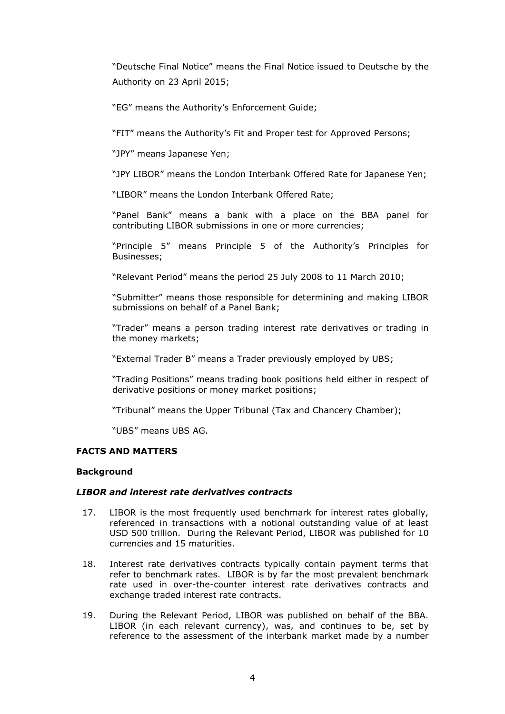"Deutsche Final Notice" means the Final Notice issued to Deutsche by the Authority on 23 April 2015;

"EG" means the Authority's Enforcement Guide;

"FIT" means the Authority's Fit and Proper test for Approved Persons;

"JPY" means Japanese Yen;

"JPY LIBOR" means the London Interbank Offered Rate for Japanese Yen;

"LIBOR" means the London Interbank Offered Rate;

"Panel Bank" means a bank with a place on the BBA panel for contributing LIBOR submissions in one or more currencies;

"Principle 5" means Principle 5 of the Authority's Principles for Businesses;

"Relevant Period" means the period 25 July 2008 to 11 March 2010;

"Submitter" means those responsible for determining and making LIBOR submissions on behalf of a Panel Bank;

"Trader" means a person trading interest rate derivatives or trading in the money markets;

"External Trader B" means a Trader previously employed by UBS;

"Trading Positions" means trading book positions held either in respect of derivative positions or money market positions;

"Tribunal" means the Upper Tribunal (Tax and Chancery Chamber);

"UBS" means UBS AG.

# **FACTS AND MATTERS**

# **Background**

# *LIBOR and interest rate derivatives contracts*

- 17. LIBOR is the most frequently used benchmark for interest rates globally, referenced in transactions with a notional outstanding value of at least USD 500 trillion. During the Relevant Period, LIBOR was published for 10 currencies and 15 maturities.
- 18. Interest rate derivatives contracts typically contain payment terms that refer to benchmark rates. LIBOR is by far the most prevalent benchmark rate used in over-the-counter interest rate derivatives contracts and exchange traded interest rate contracts.
- 19. During the Relevant Period, LIBOR was published on behalf of the BBA. LIBOR (in each relevant currency), was, and continues to be, set by reference to the assessment of the interbank market made by a number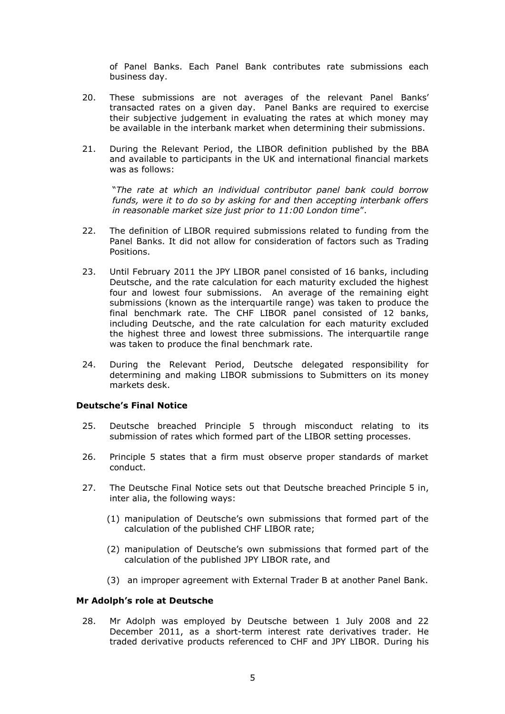of Panel Banks. Each Panel Bank contributes rate submissions each business day.

- 20. These submissions are not averages of the relevant Panel Banks' transacted rates on a given day. Panel Banks are required to exercise their subjective judgement in evaluating the rates at which money may be available in the interbank market when determining their submissions.
- 21. During the Relevant Period, the LIBOR definition published by the BBA and available to participants in the UK and international financial markets was as follows:

"*The rate at which an individual contributor panel bank could borrow funds, were it to do so by asking for and then accepting interbank offers in reasonable market size just prior to 11:00 London time*".

- 22. The definition of LIBOR required submissions related to funding from the Panel Banks. It did not allow for consideration of factors such as Trading Positions.
- 23. Until February 2011 the JPY LIBOR panel consisted of 16 banks, including Deutsche, and the rate calculation for each maturity excluded the highest four and lowest four submissions. An average of the remaining eight submissions (known as the interquartile range) was taken to produce the final benchmark rate. The CHF LIBOR panel consisted of 12 banks, including Deutsche, and the rate calculation for each maturity excluded the highest three and lowest three submissions. The interquartile range was taken to produce the final benchmark rate.
- 24. During the Relevant Period, Deutsche delegated responsibility for determining and making LIBOR submissions to Submitters on its money markets desk.

# **Deutsche's Final Notice**

- 25. Deutsche breached Principle 5 through misconduct relating to its submission of rates which formed part of the LIBOR setting processes.
- 26. Principle 5 states that a firm must observe proper standards of market conduct.
- 27. The Deutsche Final Notice sets out that Deutsche breached Principle 5 in, inter alia, the following ways:
	- (1) manipulation of Deutsche's own submissions that formed part of the calculation of the published CHF LIBOR rate;
	- (2) manipulation of Deutsche's own submissions that formed part of the calculation of the published JPY LIBOR rate, and
	- (3) an improper agreement with External Trader B at another Panel Bank.

## **Mr Adolph's role at Deutsche**

28. Mr Adolph was employed by Deutsche between 1 July 2008 and 22 December 2011, as a short-term interest rate derivatives trader. He traded derivative products referenced to CHF and JPY LIBOR. During his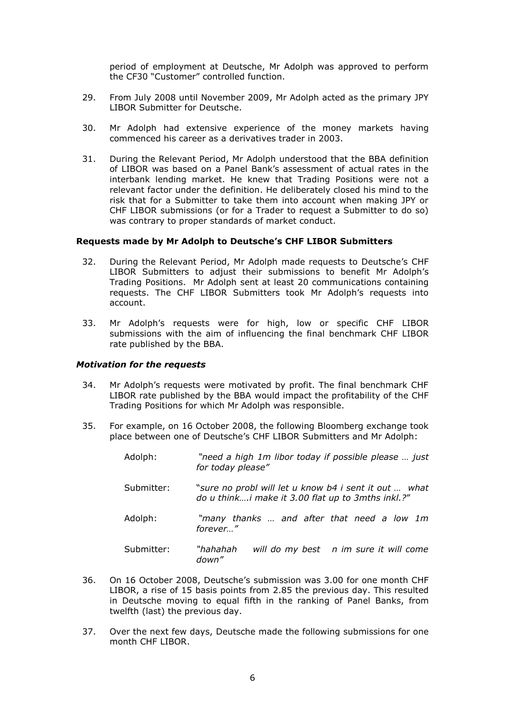period of employment at Deutsche, Mr Adolph was approved to perform the CF30 "Customer" controlled function.

- 29. From July 2008 until November 2009, Mr Adolph acted as the primary JPY LIBOR Submitter for Deutsche.
- 30. Mr Adolph had extensive experience of the money markets having commenced his career as a derivatives trader in 2003.
- 31. During the Relevant Period, Mr Adolph understood that the BBA definition of LIBOR was based on a Panel Bank's assessment of actual rates in the interbank lending market. He knew that Trading Positions were not a relevant factor under the definition. He deliberately closed his mind to the risk that for a Submitter to take them into account when making JPY or CHF LIBOR submissions (or for a Trader to request a Submitter to do so) was contrary to proper standards of market conduct.

#### **Requests made by Mr Adolph to Deutsche's CHF LIBOR Submitters**

- 32. During the Relevant Period, Mr Adolph made requests to Deutsche's CHF LIBOR Submitters to adjust their submissions to benefit Mr Adolph's Trading Positions. Mr Adolph sent at least 20 communications containing requests. The CHF LIBOR Submitters took Mr Adolph's requests into account.
- 33. Mr Adolph's requests were for high, low or specific CHF LIBOR submissions with the aim of influencing the final benchmark CHF LIBOR rate published by the BBA.

#### *Motivation for the requests*

- 34. Mr Adolph's requests were motivated by profit. The final benchmark CHF LIBOR rate published by the BBA would impact the profitability of the CHF Trading Positions for which Mr Adolph was responsible.
- 35. For example, on 16 October 2008, the following Bloomberg exchange took place between one of Deutsche's CHF LIBOR Submitters and Mr Adolph:

| Adolph:    | "need a high 1m libor today if possible please  just<br>for today please"                                  |
|------------|------------------------------------------------------------------------------------------------------------|
| Submitter: | "sure no probl will let u know b4 i sent it out  what<br>do u thinki make it 3.00 flat up to 3mths inkl.?" |
| Adolph:    | "many thanks  and after that need a low 1m<br>forever"                                                     |
| Submitter: | "hahahah<br>will do my best n im sure it will come<br>down"                                                |

- 36. On 16 October 2008, Deutsche's submission was 3.00 for one month CHF LIBOR, a rise of 15 basis points from 2.85 the previous day. This resulted in Deutsche moving to equal fifth in the ranking of Panel Banks, from twelfth (last) the previous day.
- 37. Over the next few days, Deutsche made the following submissions for one month CHF LIBOR.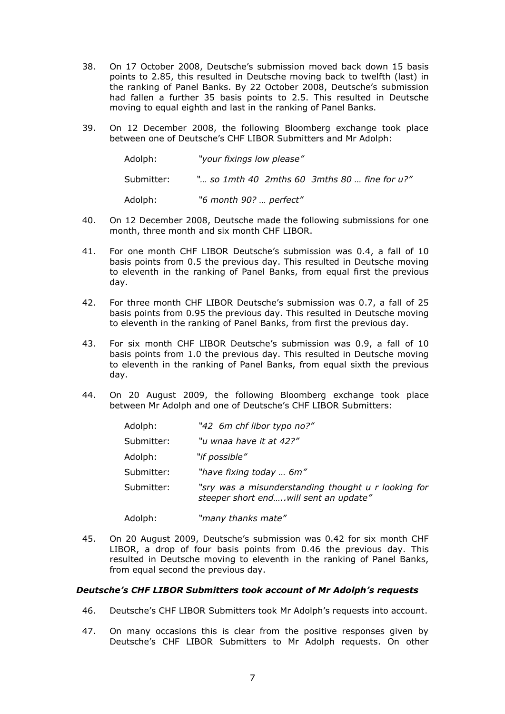- 38. On 17 October 2008, Deutsche's submission moved back down 15 basis points to 2.85, this resulted in Deutsche moving back to twelfth (last) in the ranking of Panel Banks. By 22 October 2008, Deutsche's submission had fallen a further 35 basis points to 2.5. This resulted in Deutsche moving to equal eighth and last in the ranking of Panel Banks.
- 39. On 12 December 2008, the following Bloomberg exchange took place between one of Deutsche's CHF LIBOR Submitters and Mr Adolph:

| Adolph:    | "your fixings low please"                              |
|------------|--------------------------------------------------------|
| Submitter: | " so 1mth 40 $\,$ 2mths 60 $\,$ 3mths 80  fine for u?" |
| Adolph:    | "6 month 90?  perfect"                                 |

- 40. On 12 December 2008, Deutsche made the following submissions for one month, three month and six month CHF LIBOR.
- 41. For one month CHF LIBOR Deutsche's submission was 0.4, a fall of 10 basis points from 0.5 the previous day. This resulted in Deutsche moving to eleventh in the ranking of Panel Banks, from equal first the previous day.
- 42. For three month CHF LIBOR Deutsche's submission was 0.7, a fall of 25 basis points from 0.95 the previous day. This resulted in Deutsche moving to eleventh in the ranking of Panel Banks, from first the previous day.
- 43. For six month CHF LIBOR Deutsche's submission was 0.9, a fall of 10 basis points from 1.0 the previous day. This resulted in Deutsche moving to eleventh in the ranking of Panel Banks, from equal sixth the previous day.
- 44. On 20 August 2009, the following Bloomberg exchange took place between Mr Adolph and one of Deutsche's CHF LIBOR Submitters:

| Adolph:    | "42 6m chf libor typo no?"                                                                    |
|------------|-----------------------------------------------------------------------------------------------|
| Submitter: | "u wnaa have it at 42?"                                                                       |
| Adolph:    | "if possible"                                                                                 |
| Submitter: | "have fixing today  6m"                                                                       |
| Submitter: | "sry was a misunderstanding thought u r looking for<br>steeper short end will sent an update" |
| Adolph:    | "many thanks mate"                                                                            |

45. On 20 August 2009, Deutsche's submission was 0.42 for six month CHF LIBOR, a drop of four basis points from 0.46 the previous day. This resulted in Deutsche moving to eleventh in the ranking of Panel Banks, from equal second the previous day.

# *Deutsche's CHF LIBOR Submitters took account of Mr Adolph's requests*

- 46. Deutsche's CHF LIBOR Submitters took Mr Adolph's requests into account.
- 47. On many occasions this is clear from the positive responses given by Deutsche's CHF LIBOR Submitters to Mr Adolph requests. On other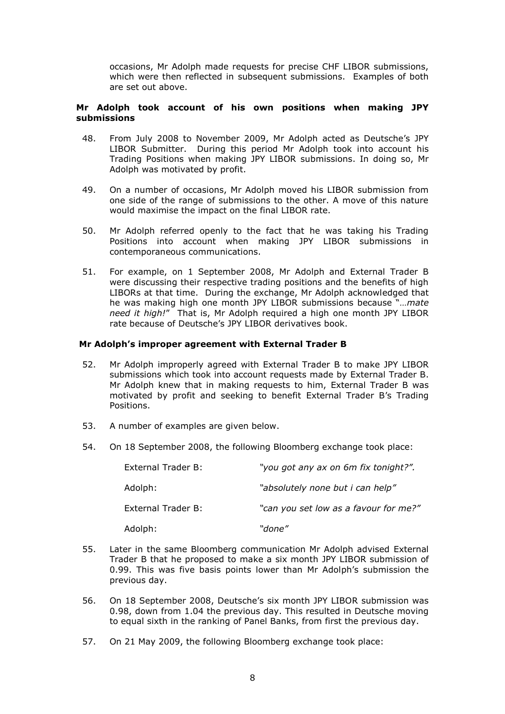occasions, Mr Adolph made requests for precise CHF LIBOR submissions, which were then reflected in subsequent submissions. Examples of both are set out above.

## **Mr Adolph took account of his own positions when making JPY submissions**

- 48. From July 2008 to November 2009, Mr Adolph acted as Deutsche's JPY LIBOR Submitter. During this period Mr Adolph took into account his Trading Positions when making JPY LIBOR submissions. In doing so, Mr Adolph was motivated by profit.
- 49. On a number of occasions, Mr Adolph moved his LIBOR submission from one side of the range of submissions to the other. A move of this nature would maximise the impact on the final LIBOR rate.
- 50. Mr Adolph referred openly to the fact that he was taking his Trading Positions into account when making JPY LIBOR submissions in contemporaneous communications.
- 51. For example, on 1 September 2008, Mr Adolph and External Trader B were discussing their respective trading positions and the benefits of high LIBORs at that time. During the exchange, Mr Adolph acknowledged that he was making high one month JPY LIBOR submissions because "*…mate need it high!*" That is, Mr Adolph required a high one month JPY LIBOR rate because of Deutsche's JPY LIBOR derivatives book.

# **Mr Adolph's improper agreement with External Trader B**

- 52. Mr Adolph improperly agreed with External Trader B to make JPY LIBOR submissions which took into account requests made by External Trader B. Mr Adolph knew that in making requests to him, External Trader B was motivated by profit and seeking to benefit External Trader B's Trading Positions.
- 53. A number of examples are given below.
- 54. On 18 September 2008, the following Bloomberg exchange took place:

| External Trader B: | "you got any ax on 6m fix tonight?".  |
|--------------------|---------------------------------------|
| Adolph:            | "absolutely none but i can help"      |
| External Trader B: | "can you set low as a favour for me?" |
| Adolph:            | "done"                                |

- 55. Later in the same Bloomberg communication Mr Adolph advised External Trader B that he proposed to make a six month JPY LIBOR submission of 0.99. This was five basis points lower than Mr Adolph's submission the previous day.
- 56. On 18 September 2008, Deutsche's six month JPY LIBOR submission was 0.98, down from 1.04 the previous day. This resulted in Deutsche moving to equal sixth in the ranking of Panel Banks, from first the previous day.
- 57. On 21 May 2009, the following Bloomberg exchange took place: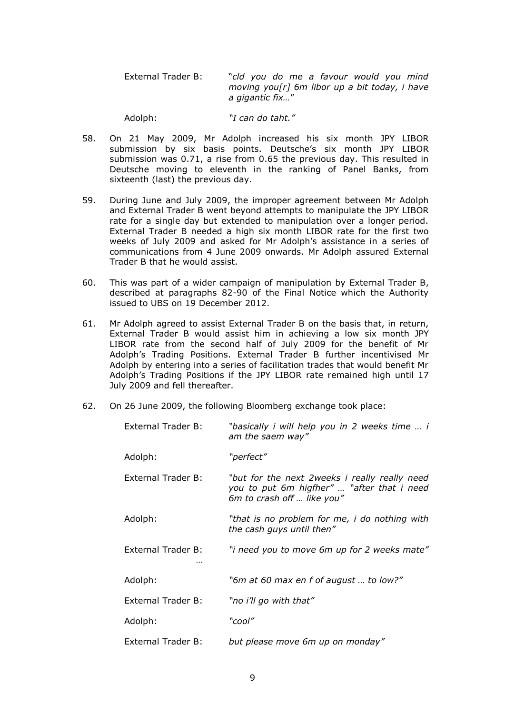External Trader B: "*cld you do me a favour would you mind moving you[r] 6m libor up a bit today, i have a gigantic fix…*"

Adolph: *"I can do taht."*

- 58. On 21 May 2009, Mr Adolph increased his six month JPY LIBOR submission by six basis points. Deutsche's six month JPY LIBOR submission was 0.71, a rise from 0.65 the previous day. This resulted in Deutsche moving to eleventh in the ranking of Panel Banks, from sixteenth (last) the previous day.
- 59. During June and July 2009, the improper agreement between Mr Adolph and External Trader B went beyond attempts to manipulate the JPY LIBOR rate for a single day but extended to manipulation over a longer period. External Trader B needed a high six month LIBOR rate for the first two weeks of July 2009 and asked for Mr Adolph's assistance in a series of communications from 4 June 2009 onwards. Mr Adolph assured External Trader B that he would assist.
- 60. This was part of a wider campaign of manipulation by External Trader B, described at paragraphs 82-90 of the Final Notice which the Authority issued to UBS on 19 December 2012.
- 61. Mr Adolph agreed to assist External Trader B on the basis that, in return, External Trader B would assist him in achieving a low six month JPY LIBOR rate from the second half of July 2009 for the benefit of Mr Adolph's Trading Positions. External Trader B further incentivised Mr Adolph by entering into a series of facilitation trades that would benefit Mr Adolph's Trading Positions if the JPY LIBOR rate remained high until 17 July 2009 and fell thereafter.
- 62. On 26 June 2009, the following Bloomberg exchange took place:

| External Trader B:        | "basically i will help you in 2 weeks time  i<br>am the saem way"                                                         |
|---------------------------|---------------------------------------------------------------------------------------------------------------------------|
| Adolph:                   | "perfect"                                                                                                                 |
| External Trader B:        | "but for the next 2weeks i really really need<br>you to put 6m higfher"  "after that i need<br>6m to crash off  like you" |
| Adolph:                   | "that is no problem for me, i do nothing with<br>the cash guys until then"                                                |
| External Trader B:        | "i need you to move 6m up for 2 weeks mate"                                                                               |
| Adolph:                   | "6m at 60 max en f of august  to low?"                                                                                    |
| <b>External Trader B:</b> | "no i'll go with that"                                                                                                    |
| Adolph:                   | "cool"                                                                                                                    |
| External Trader B:        | but please move 6m up on monday"                                                                                          |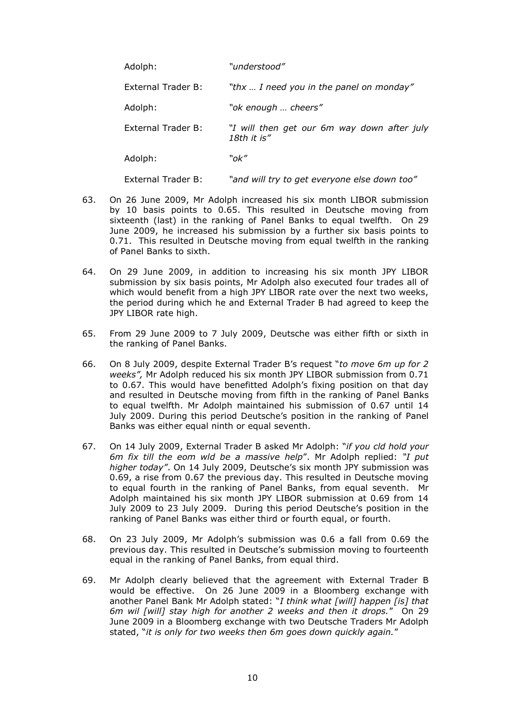| Adolph:            | "understood"                                               |
|--------------------|------------------------------------------------------------|
| External Trader B: | "thx  I need you in the panel on monday"                   |
| Adolph:            | "ok enough  cheers"                                        |
| External Trader B: | "I will then get our 6m way down after july<br>18th it is" |
| Adolph:            | "ok″                                                       |
| External Trader B: | "and will try to get everyone else down too"               |

- 63. On 26 June 2009, Mr Adolph increased his six month LIBOR submission by 10 basis points to 0.65. This resulted in Deutsche moving from sixteenth (last) in the ranking of Panel Banks to equal twelfth. On 29 June 2009, he increased his submission by a further six basis points to 0.71. This resulted in Deutsche moving from equal twelfth in the ranking of Panel Banks to sixth.
- 64. On 29 June 2009, in addition to increasing his six month JPY LIBOR submission by six basis points, Mr Adolph also executed four trades all of which would benefit from a high JPY LIBOR rate over the next two weeks, the period during which he and External Trader B had agreed to keep the JPY LIBOR rate high.
- 65. From 29 June 2009 to 7 July 2009, Deutsche was either fifth or sixth in the ranking of Panel Banks.
- 66. On 8 July 2009, despite External Trader B's request "*to move 6m up for 2 weeks",* Mr Adolph reduced his six month JPY LIBOR submission from 0.71 to 0.67. This would have benefitted Adolph's fixing position on that day and resulted in Deutsche moving from fifth in the ranking of Panel Banks to equal twelfth. Mr Adolph maintained his submission of 0.67 until 14 July 2009. During this period Deutsche's position in the ranking of Panel Banks was either equal ninth or equal seventh.
- 67. On 14 July 2009, External Trader B asked Mr Adolph: "*if you cld hold your 6m fix till the eom wld be a massive help*". Mr Adolph replied: *"I put higher today"*. On 14 July 2009, Deutsche's six month JPY submission was 0.69, a rise from 0.67 the previous day. This resulted in Deutsche moving to equal fourth in the ranking of Panel Banks, from equal seventh. Mr Adolph maintained his six month JPY LIBOR submission at 0.69 from 14 July 2009 to 23 July 2009. During this period Deutsche's position in the ranking of Panel Banks was either third or fourth equal, or fourth.
- 68. On 23 July 2009, Mr Adolph's submission was 0.6 a fall from 0.69 the previous day. This resulted in Deutsche's submission moving to fourteenth equal in the ranking of Panel Banks, from equal third.
- 69. Mr Adolph clearly believed that the agreement with External Trader B would be effective. On 26 June 2009 in a Bloomberg exchange with another Panel Bank Mr Adolph stated: "*I think what [will] happen [is] that 6m wil [will] stay high for another 2 weeks and then it drops.*" On 29 June 2009 in a Bloomberg exchange with two Deutsche Traders Mr Adolph stated, "*it is only for two weeks then 6m goes down quickly again.*"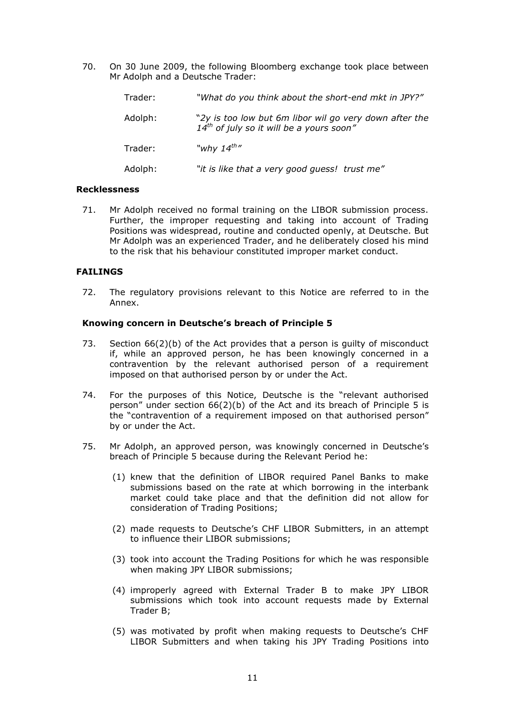70. On 30 June 2009, the following Bloomberg exchange took place between Mr Adolph and a Deutsche Trader:

| Trader: | "What do you think about the short-end mkt in JPY?"                                                     |
|---------|---------------------------------------------------------------------------------------------------------|
| Adolph: | "2y is too low but 6m libor wil go very down after the<br>$14^{th}$ of july so it will be a yours soon" |
| Trader: | "why $14^{th}$ "                                                                                        |
| Adolph: | "it is like that a very good guess! trust me"                                                           |

#### **Recklessness**

71. Mr Adolph received no formal training on the LIBOR submission process. Further, the improper requesting and taking into account of Trading Positions was widespread, routine and conducted openly, at Deutsche. But Mr Adolph was an experienced Trader, and he deliberately closed his mind to the risk that his behaviour constituted improper market conduct.

#### **FAILINGS**

72. The regulatory provisions relevant to this Notice are referred to in the Annex.

#### **Knowing concern in Deutsche's breach of Principle 5**

- 73. Section 66(2)(b) of the Act provides that a person is guilty of misconduct if, while an approved person, he has been knowingly concerned in a contravention by the relevant authorised person of a requirement imposed on that authorised person by or under the Act.
- 74. For the purposes of this Notice, Deutsche is the "relevant authorised person" under section 66(2)(b) of the Act and its breach of Principle 5 is the "contravention of a requirement imposed on that authorised person" by or under the Act.
- 75. Mr Adolph, an approved person, was knowingly concerned in Deutsche's breach of Principle 5 because during the Relevant Period he:
	- (1) knew that the definition of LIBOR required Panel Banks to make submissions based on the rate at which borrowing in the interbank market could take place and that the definition did not allow for consideration of Trading Positions;
	- (2) made requests to Deutsche's CHF LIBOR Submitters, in an attempt to influence their LIBOR submissions;
	- (3) took into account the Trading Positions for which he was responsible when making JPY LIBOR submissions;
	- (4) improperly agreed with External Trader B to make JPY LIBOR submissions which took into account requests made by External Trader B;
	- (5) was motivated by profit when making requests to Deutsche's CHF LIBOR Submitters and when taking his JPY Trading Positions into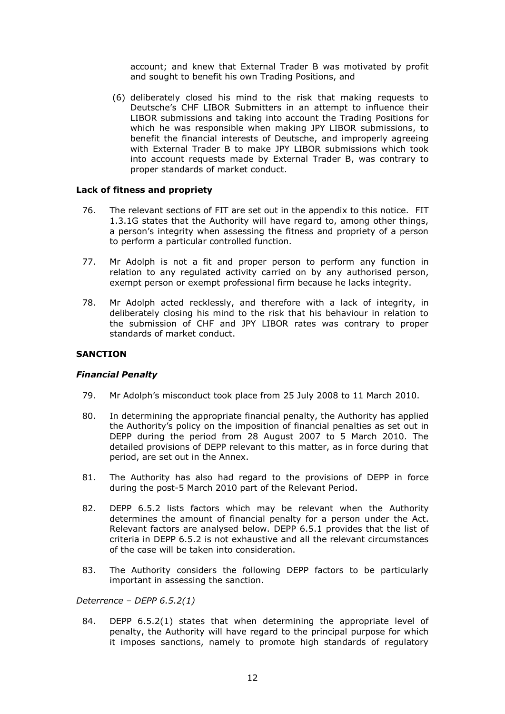account; and knew that External Trader B was motivated by profit and sought to benefit his own Trading Positions, and

(6) deliberately closed his mind to the risk that making requests to Deutsche's CHF LIBOR Submitters in an attempt to influence their LIBOR submissions and taking into account the Trading Positions for which he was responsible when making JPY LIBOR submissions, to benefit the financial interests of Deutsche, and improperly agreeing with External Trader B to make JPY LIBOR submissions which took into account requests made by External Trader B, was contrary to proper standards of market conduct.

#### **Lack of fitness and propriety**

- 76. The relevant sections of FIT are set out in the appendix to this notice. FIT 1.3.1G states that the Authority will have regard to, among other things, a person's integrity when assessing the fitness and propriety of a person to perform a particular controlled function.
- 77. Mr Adolph is not a fit and proper person to perform any function in relation to any regulated activity carried on by any authorised person, exempt person or exempt professional firm because he lacks integrity.
- 78. Mr Adolph acted recklessly, and therefore with a lack of integrity, in deliberately closing his mind to the risk that his behaviour in relation to the submission of CHF and JPY LIBOR rates was contrary to proper standards of market conduct.

## **SANCTION**

#### *Financial Penalty*

- 79. Mr Adolph's misconduct took place from 25 July 2008 to 11 March 2010.
- 80. In determining the appropriate financial penalty, the Authority has applied the Authority's policy on the imposition of financial penalties as set out in DEPP during the period from 28 August 2007 to 5 March 2010. The detailed provisions of DEPP relevant to this matter, as in force during that period, are set out in the Annex.
- 81. The Authority has also had regard to the provisions of DEPP in force during the post-5 March 2010 part of the Relevant Period.
- 82. DEPP 6.5.2 lists factors which may be relevant when the Authority determines the amount of financial penalty for a person under the Act. Relevant factors are analysed below. DEPP 6.5.1 provides that the list of criteria in DEPP 6.5.2 is not exhaustive and all the relevant circumstances of the case will be taken into consideration.
- 83. The Authority considers the following DEPP factors to be particularly important in assessing the sanction.

# *Deterrence – DEPP 6.5.2(1)*

84. DEPP 6.5.2(1) states that when determining the appropriate level of penalty, the Authority will have regard to the principal purpose for which it imposes sanctions, namely to promote high standards of regulatory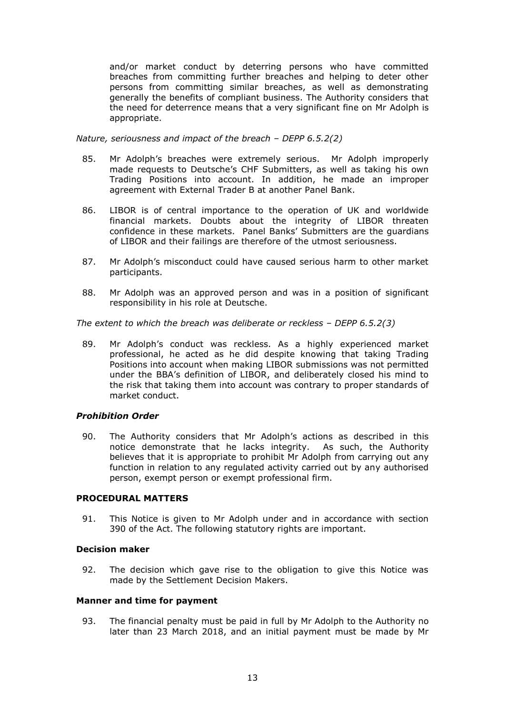and/or market conduct by deterring persons who have committed breaches from committing further breaches and helping to deter other persons from committing similar breaches, as well as demonstrating generally the benefits of compliant business. The Authority considers that the need for deterrence means that a very significant fine on Mr Adolph is appropriate.

*Nature, seriousness and impact of the breach – DEPP 6.5.2(2)*

- 85. Mr Adolph's breaches were extremely serious. Mr Adolph improperly made requests to Deutsche's CHF Submitters, as well as taking his own Trading Positions into account. In addition, he made an improper agreement with External Trader B at another Panel Bank.
- 86. LIBOR is of central importance to the operation of UK and worldwide financial markets. Doubts about the integrity of LIBOR threaten confidence in these markets. Panel Banks' Submitters are the guardians of LIBOR and their failings are therefore of the utmost seriousness.
- 87. Mr Adolph's misconduct could have caused serious harm to other market participants.
- 88. Mr Adolph was an approved person and was in a position of significant responsibility in his role at Deutsche.

*The extent to which the breach was deliberate or reckless – DEPP 6.5.2(3)*

89. Mr Adolph's conduct was reckless. As a highly experienced market professional, he acted as he did despite knowing that taking Trading Positions into account when making LIBOR submissions was not permitted under the BBA's definition of LIBOR, and deliberately closed his mind to the risk that taking them into account was contrary to proper standards of market conduct.

# *Prohibition Order*

90. The Authority considers that Mr Adolph's actions as described in this notice demonstrate that he lacks integrity. As such, the Authority believes that it is appropriate to prohibit Mr Adolph from carrying out any function in relation to any regulated activity carried out by any authorised person, exempt person or exempt professional firm.

#### **PROCEDURAL MATTERS**

91. This Notice is given to Mr Adolph under and in accordance with section 390 of the Act. The following statutory rights are important.

#### **Decision maker**

92. The decision which gave rise to the obligation to give this Notice was made by the Settlement Decision Makers.

## **Manner and time for payment**

93. The financial penalty must be paid in full by Mr Adolph to the Authority no later than 23 March 2018, and an initial payment must be made by Mr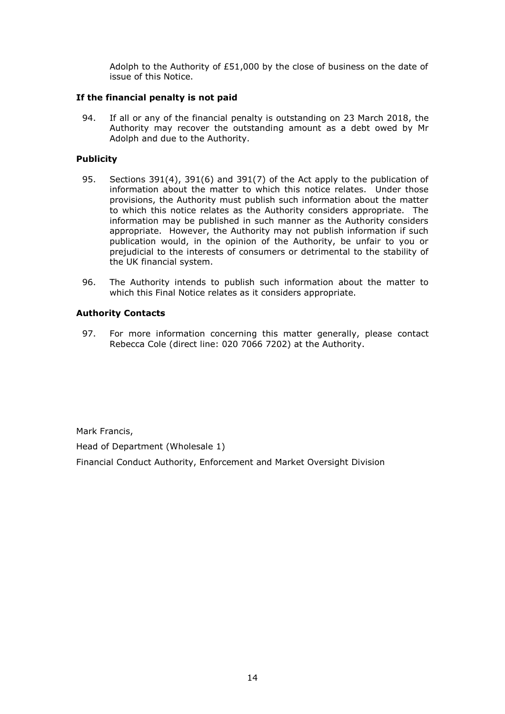Adolph to the Authority of £51,000 by the close of business on the date of issue of this Notice.

# **If the financial penalty is not paid**

94. If all or any of the financial penalty is outstanding on 23 March 2018, the Authority may recover the outstanding amount as a debt owed by Mr Adolph and due to the Authority.

# **Publicity**

- 95. Sections 391(4), 391(6) and 391(7) of the Act apply to the publication of information about the matter to which this notice relates. Under those provisions, the Authority must publish such information about the matter to which this notice relates as the Authority considers appropriate. The information may be published in such manner as the Authority considers appropriate. However, the Authority may not publish information if such publication would, in the opinion of the Authority, be unfair to you or prejudicial to the interests of consumers or detrimental to the stability of the UK financial system.
- 96. The Authority intends to publish such information about the matter to which this Final Notice relates as it considers appropriate.

# **Authority Contacts**

97. For more information concerning this matter generally, please contact Rebecca Cole (direct line: 020 7066 7202) at the Authority.

Mark Francis,

Head of Department (Wholesale 1)

Financial Conduct Authority, Enforcement and Market Oversight Division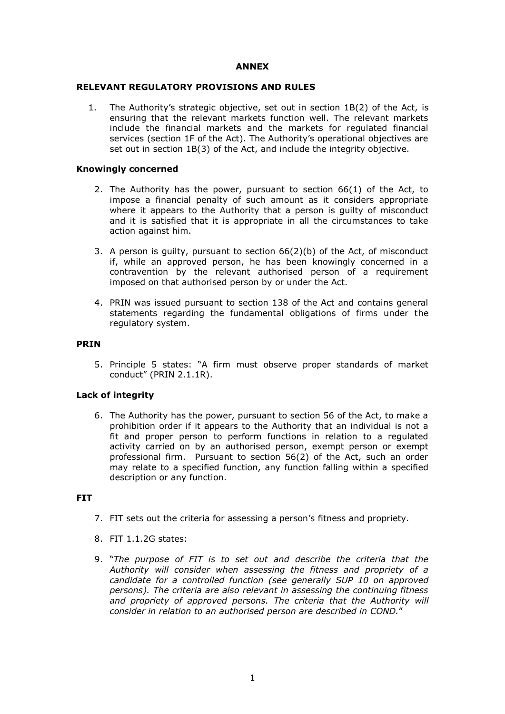# **ANNEX**

# **RELEVANT REGULATORY PROVISIONS AND RULES**

1. The Authority's strategic objective, set out in section 1B(2) of the Act, is ensuring that the relevant markets function well. The relevant markets include the financial markets and the markets for regulated financial services (section 1F of the Act). The Authority's operational objectives are set out in section 1B(3) of the Act, and include the integrity objective.

## **Knowingly concerned**

- 2. The Authority has the power, pursuant to section 66(1) of the Act, to impose a financial penalty of such amount as it considers appropriate where it appears to the Authority that a person is guilty of misconduct and it is satisfied that it is appropriate in all the circumstances to take action against him.
- 3. A person is guilty, pursuant to section 66(2)(b) of the Act, of misconduct if, while an approved person, he has been knowingly concerned in a contravention by the relevant authorised person of a requirement imposed on that authorised person by or under the Act.
- 4. PRIN was issued pursuant to section 138 of the Act and contains general statements regarding the fundamental obligations of firms under the regulatory system.

#### **PRIN**

5. Principle 5 states: "A firm must observe proper standards of market conduct" (PRIN 2.1.1R).

# **Lack of integrity**

6. The Authority has the power, pursuant to section 56 of the Act, to make a prohibition order if it appears to the Authority that an individual is not a fit and proper person to perform functions in relation to a regulated activity carried on by an authorised person, exempt person or exempt professional firm. Pursuant to section 56(2) of the Act, such an order may relate to a specified function, any function falling within a specified description or any function.

# **FIT**

- 7. FIT sets out the criteria for assessing a person's fitness and propriety.
- 8. FIT 1.1.2G states:
- 9. "*The purpose of [FIT](http://fsahandbook.info/FSA/glossary-html/handbook/Glossary/F?definition=G433) is to set out and describe the criteria that the [Authority](http://fsahandbook.info/FSA/glossary-html/handbook/Glossary/F?definition=G447) will consider when assessing the fitness and propriety of a [candidate](http://fsahandbook.info/FSA/glossary-html/handbook/Glossary/C?definition=G126) for a [controlled function](http://fsahandbook.info/FSA/glossary-html/handbook/Glossary/C?definition=G224) (see generally [SUP 10](http://fsahandbook.info/FSA/html/handbook/SUP/10#D1) on [approved](http://fsahandbook.info/FSA/glossary-html/handbook/Glossary/A?definition=G65)  [persons\)](http://fsahandbook.info/FSA/glossary-html/handbook/Glossary/A?definition=G65). The criteria are also relevant in assessing the continuing fitness and propriety of [approved persons.](http://fsahandbook.info/FSA/glossary-html/handbook/Glossary/A?definition=G65) The criteria that the [Authority](http://fsahandbook.info/FSA/glossary-html/handbook/Glossary/F?definition=G447) will consider in relation to an [authorised person](http://fsahandbook.info/FSA/glossary-html/handbook/Glossary/A?definition=G88) are described in [COND.](http://fsahandbook.info/FSA/glossary-html/handbook/Glossary/C?definition=G203)*"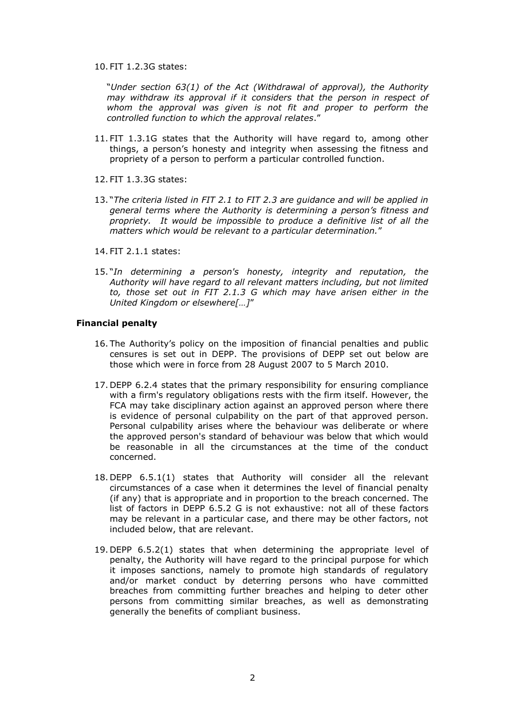10. FIT 1.2.3G states:

"*Under section 63(1) of the [Act](http://fsahandbook.info/FSA/glossary-html/handbook/Glossary/A?definition=G10) (Withdrawal of approval), the [Authority](http://fsahandbook.info/FSA/glossary-html/handbook/Glossary/F?definition=G447) may withdraw its approval if it considers that the [person](http://fsahandbook.info/FSA/glossary-html/handbook/Glossary/P?definition=G869) in respect of whom the approval was given is not fit and proper to perform the [controlled function](http://fsahandbook.info/FSA/glossary-html/handbook/Glossary/C?definition=G224) to which the approval relates*."

- 11. FIT 1.3.1G states that the Authority will have regard to, among other things, a person's honesty and integrity when assessing the fitness and propriety of a person to perform a particular controlled function.
- 12. FIT 1.3.3G states:
- 13. "*The criteria listed in FIT 2.1 to FIT 2.3 are guidance and will be applied in general terms where the Authority is determining a person's fitness and propriety. It would be impossible to produce a definitive list of all the matters which would be relevant to a particular determination.*"
- 14. FIT 2.1.1 states:
- 15. "*In determining a [person's](http://fsahandbook.info/FSA/glossary-html/handbook/Glossary/P?definition=G869) honesty, integrity and reputation, the [Authority](http://fsahandbook.info/FSA/glossary-html/handbook/Glossary/F?definition=G447) will have regard to all relevant matters including, but not limited to, those set out in [FIT 2.1.3 G](http://fsahandbook.info/FSA/html/handbook/FIT/2/1#D5) which may have arisen either in the [United Kingdom](http://fsahandbook.info/FSA/glossary-html/handbook/Glossary/U?definition=G1232) or elsewhere[…]*"

#### **Financial penalty**

- 16. The Authority's policy on the imposition of financial penalties and public censures is set out in DEPP. The provisions of DEPP set out below are those which were in force from 28 August 2007 to 5 March 2010.
- 17. DEPP 6.2.4 states that the primary responsibility for ensuring compliance with a firm's regulatory obligations rests with the firm itself. However, the FCA may take disciplinary action against an approved person where there is evidence of personal culpability on the part of that approved person. Personal culpability arises where the behaviour was deliberate or where the approved person's standard of behaviour was below that which would be reasonable in all the circumstances at the time of the conduct concerned.
- 18. DEPP 6.5.1(1) states that Authority will consider all the relevant circumstances of a case when it determines the level of financial penalty (if any) that is appropriate and in proportion to the breach concerned. The list of factors in DEPP 6.5.2 G is not exhaustive: not all of these factors may be relevant in a particular case, and there may be other factors, not included below, that are relevant.
- 19. DEPP 6.5.2(1) states that when determining the appropriate level of penalty, the Authority will have regard to the principal purpose for which it imposes sanctions, namely to promote high standards of regulatory and/or market conduct by deterring persons who have committed breaches from committing further breaches and helping to deter other persons from committing similar breaches, as well as demonstrating generally the benefits of compliant business.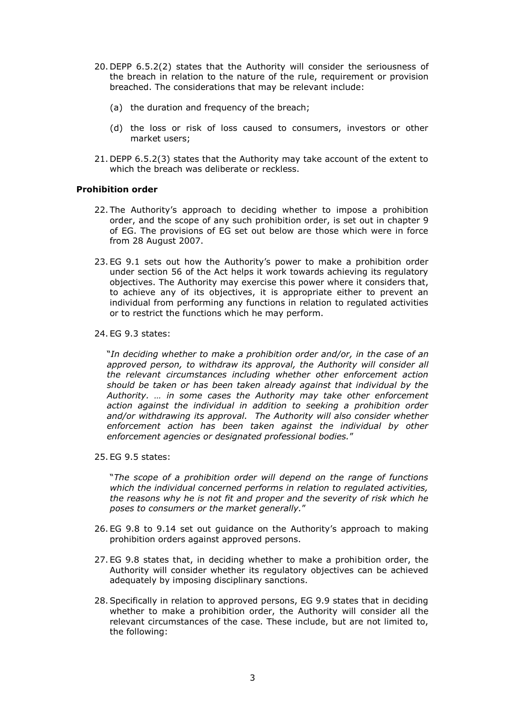- 20. DEPP 6.5.2(2) states that the Authority will consider the seriousness of the breach in relation to the nature of the rule, requirement or provision breached. The considerations that may be relevant include:
	- (a) the duration and frequency of the breach;
	- (d) the loss or risk of loss caused to consumers, investors or other market users;
- 21. DEPP 6.5.2(3) states that the Authority may take account of the extent to which the breach was deliberate or reckless.

# **Prohibition order**

- 22. The Authority's approach to deciding whether to impose a prohibition order, and the scope of any such prohibition order, is set out in chapter 9 of EG. The provisions of EG set out below are those which were in force from 28 August 2007.
- 23. EG 9.1 sets out how the Authority's power to make a prohibition order under section 56 of the Act helps it work towards achieving its regulatory objectives. The Authority may exercise this power where it considers that, to achieve any of its objectives, it is appropriate either to prevent an individual from performing any functions in relation to regulated activities or to restrict the functions which he may perform.
- 24. EG 9.3 states:

"*In deciding whether to make a prohibition order and/or, in the case of an approved person, to withdraw its approval, the Authority will consider all the relevant circumstances including whether other enforcement action should be taken or has been taken already against that individual by the Authority. … in some cases the Authority may take other enforcement action against the individual in addition to seeking a prohibition order and/or withdrawing its approval. The Authority will also consider whether enforcement action has been taken against the individual by other enforcement agencies or designated professional bodies.*"

25. EG 9.5 states:

"*The scope of a prohibition order will depend on the range of functions which the individual concerned performs in relation to regulated activities, the reasons why he is not fit and proper and the severity of risk which he poses to consumers or the market generally.*"

- 26. EG 9.8 to 9.14 set out guidance on the Authority's approach to making prohibition orders against approved persons.
- 27. EG 9.8 states that, in deciding whether to make a prohibition order, the Authority will consider whether its regulatory objectives can be achieved adequately by imposing disciplinary sanctions.
- 28.Specifically in relation to approved persons, EG 9.9 states that in deciding whether to make a prohibition order, the Authority will consider all the relevant circumstances of the case. These include, but are not limited to, the following: